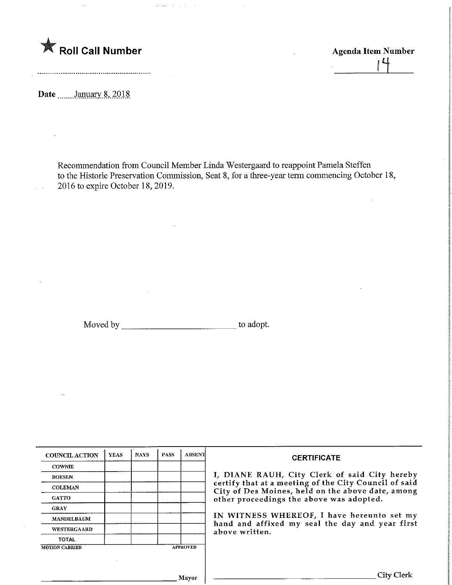

Agenda Item Number -LL

Date ........January 8, 2018

 $\bar{\beta}$ 

Recommendation from Council Member Linda Westergaard to reappoint Pamela Steffen to the Historic Preservation Commission, Seat 8, for a three-year term commencing October 18, 2016 to expire October 18, 2019.

Moved by to adopt.

| <b>COUNCIL ACTION</b> | <b>YEAS</b> | <b>NAYS</b> | <b>PASS</b> | <b>ABSENT</b>   | <b>CERTIFICATE</b>                                                                                         |
|-----------------------|-------------|-------------|-------------|-----------------|------------------------------------------------------------------------------------------------------------|
| <b>COWNIE</b>         |             |             |             |                 |                                                                                                            |
| <b>BOESEN</b>         |             |             |             |                 | I, DIANE RAUH, City Clerk of said City hereby                                                              |
| <b>COLEMAN</b>        |             |             |             |                 | certify that at a meeting of the City Council of said<br>City of Des Moines, held on the above date, among |
| <b>GATTO</b>          |             |             |             |                 | other proceedings the above was adopted.                                                                   |
| <b>GRAY</b>           |             |             |             |                 |                                                                                                            |
| <b>MANDELBAUM</b>     |             |             |             |                 | IN WITNESS WHEREOF, I have hereunto set my                                                                 |
| <b>WESTERGAARD</b>    |             |             |             |                 | hand and affixed my seal the day and year first<br>above written.                                          |
| <b>TOTAL</b>          |             |             |             |                 |                                                                                                            |
| <b>MOTION CARRIED</b> |             |             |             | <b>APPROVED</b> |                                                                                                            |
|                       |             |             |             |                 |                                                                                                            |
|                       |             |             |             |                 |                                                                                                            |
|                       |             |             |             | <b>Mayor</b>    |                                                                                                            |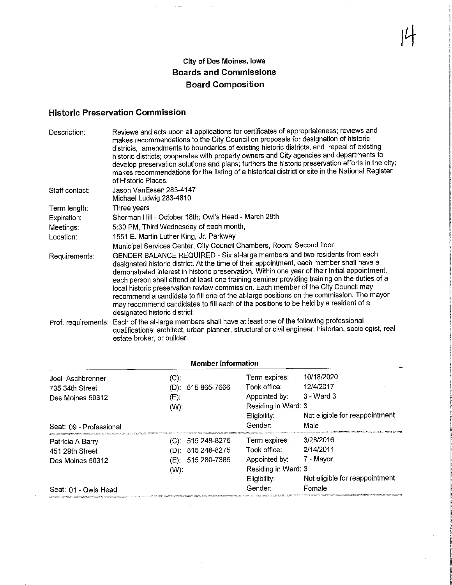## City of Des Moines, Iowa Boards and Commissions Board Composition

 $\sim$ 

 $\bar{z}$  and

 $\begin{bmatrix} 1 \end{bmatrix}$ 

## Historic Preservation Commission

| Description:   | Reviews and acts upon all applications for certificates of appropriateness; reviews and<br>makes recommendations to the City Council on proposals for designation of historic<br>districts, amendments to boundaries of existing historic districts, and repeal of existing<br>historic districts; cooperates with property owners and City agencies and departments to<br>develop preservation solutions and plans; furthers the historic preservation efforts in the city;<br>makes recommendations for the listing of a historical district or site in the National Register<br>of Historic Places.                                                                             |
|----------------|------------------------------------------------------------------------------------------------------------------------------------------------------------------------------------------------------------------------------------------------------------------------------------------------------------------------------------------------------------------------------------------------------------------------------------------------------------------------------------------------------------------------------------------------------------------------------------------------------------------------------------------------------------------------------------|
| Staff contact: | Jason VanEssen 283-4147<br>Michael Ludwig 283-4810                                                                                                                                                                                                                                                                                                                                                                                                                                                                                                                                                                                                                                 |
| Term length:   | Three years                                                                                                                                                                                                                                                                                                                                                                                                                                                                                                                                                                                                                                                                        |
| Expiration:    | Sherman Hill - October 18th; Owl's Head - March 28th                                                                                                                                                                                                                                                                                                                                                                                                                                                                                                                                                                                                                               |
| Meetings:      | 5:30 PM, Third Wednesday of each month,                                                                                                                                                                                                                                                                                                                                                                                                                                                                                                                                                                                                                                            |
| Location:      | 1551 E. Martin Luther King, Jr. Parkway                                                                                                                                                                                                                                                                                                                                                                                                                                                                                                                                                                                                                                            |
|                | Municipal Services Center, City Council Chambers, Room: Second floor                                                                                                                                                                                                                                                                                                                                                                                                                                                                                                                                                                                                               |
| Requirements:  | GENDER BALANCE REQUIRED - Six at-large members and two residents from each<br>designated historic district. At the time of their appointment, each member shall have a<br>demonstrated interest in historic preservation. Within one year of their initial appointment,<br>each person shall attend at least one training seminar providing training on the duties of a<br>local historic preservation review commission. Each member of the City Council may<br>recommend a candidate to fill one of the at-large positions on the commission. The mayor<br>may recommend candidates to fill each of the positions to be held by a resident of a<br>designated historic district. |
|                | Prof. requirements: Each of the at-large members shall have at least one of the following professional<br>qualifications: architect, urban planner, structural or civil engineer, historian, sociologist, real<br>estate broker, or builder.                                                                                                                                                                                                                                                                                                                                                                                                                                       |

| MCHINGI HIIVIHQUVII                 |                               |                                                |                                        |  |
|-------------------------------------|-------------------------------|------------------------------------------------|----------------------------------------|--|
| Joel Aschbrenner<br>735 34th Street | (C).<br>515 865-7666<br>(D) = | Term expires:<br>Took office:                  | 10/18/2020<br>12/4/2017                |  |
| Des Moines 50312                    | (E)                           | Appointed by:                                  | $3 - Ward3$                            |  |
| Seat: 09 - Professional             | $(W)$ :                       | Residing in Ward: 3<br>Eligibility:<br>Gender: | Not eligible for reappointment<br>Male |  |
|                                     |                               |                                                | 3/28/2016                              |  |
| Patricia A Barry                    | (C): 515 248-8275             | Term expires:                                  |                                        |  |
| 451 29th Street                     | $(D)$ : 515 248-8275          | Took office:                                   | 2/14/2011                              |  |
| Des Moines 50312                    | $(E)$ : 515 280-7365          | Appointed by:                                  | 7 - Mayor                              |  |
|                                     | $(W)$ :                       | Residing in Ward: 3                            |                                        |  |
|                                     |                               | Eligibility.                                   | Not eligible for reappointment         |  |
| Seat: 01 - Owls Head                |                               | Gender:                                        | Female                                 |  |

## Member Information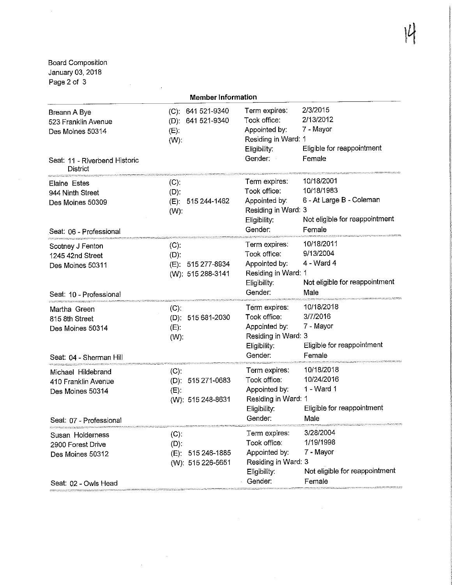IU

oard Composition anuary 03, 2018 Page 2 of 3

 $\sim 10^{-11}$ 

 $\mathbf{r}$ 

 $\overline{\phantom{a}}$ 

|                                                                                                             | <b>Member Information</b>                                          |                                                                                                  |                                                                                                  |
|-------------------------------------------------------------------------------------------------------------|--------------------------------------------------------------------|--------------------------------------------------------------------------------------------------|--------------------------------------------------------------------------------------------------|
| Breann A Bye<br>523 Franklin Avenue<br>Des Moines 50314<br>Seat: 11 - Riverbend Historic<br><b>District</b> | (C): 641 521-9340<br>(D): 641 521-9340<br>(E)<br>$(W)$ :           | Term expires:<br>Took office:<br>Appointed by:<br>Residing in Ward: 1<br>Eligibility:<br>Gender: | 2/3/2015<br>2/13/2012<br>7 - Mayor<br>Eligible for reappointment<br>Female                       |
| <b>Elaine Estes</b><br>944 Ninth Street<br>Des Moines 50309<br>Seat: 06 - Professional                      | (C).<br>$(D)$ :<br>(E): 515 244-1462<br>$(W)$ :                    | Term expires:<br>Took office:<br>Appointed by:<br>Residing in Ward: 3<br>Eligibility:<br>Gender: | 10/18/2001<br>10/18/1983<br>6 - At Large B - Coleman<br>Not eligible for reappointment<br>Female |
| Scotney J Fenton<br>1245 42nd Street<br>Des Moines 50311<br>Seat: 10 - Professional                         | $(C)$ :<br>$(D)$ :<br>(E): 515 277-8934<br>(W): 515 288-3141       | Term expires:<br>Took office:<br>Appointed by:<br>Residing in Ward: 1<br>Eligibility:<br>Gender: | 10/18/2011<br>9/13/2004<br>4 - Ward 4<br>Not eligible for reappointment<br>Male                  |
| Martha Green<br>815 8th Street<br>Des Moines 50314<br>Seat: 04 - Sherman Hill                               | $(C)$ :<br>(D): 515 681-2030<br>$(E)$ :<br>$(W)$ :                 | Term expires:<br>Took office:<br>Appointed by:<br>Residing in Ward: 3<br>Eligibility:<br>Gender: | 10/18/2018<br>3/7/2016<br>7 - Mayor<br>Eligible for reappointment<br>Female                      |
| Michael Hildebrand<br>410 Franklin Avenue<br>Des Moines 50314<br>Seat: 07 - Professional                    | $(C)$ :<br>(D): 515 271-0683<br>$(E)$ :<br>(W): 515 248-8631       | Term expires:<br>Took office:<br>Appointed by:<br>Residing in Ward: 1<br>Eligibility:<br>Gender: | 10/18/2018<br>10/24/2016<br>1 - Ward 1<br>Eligible for reappointment<br>Male                     |
| Susan Holderness<br>2900 Forest Drive<br>Des Moines 50312<br>Seat: 02 - Owls Head                           | $(C)$ :<br>$(D)$ :<br>515 246-1885<br>$(E)$ :<br>(W): 515 226-5651 | Term expires:<br>Took office:<br>Appointed by:<br>Residing in Ward: 3<br>Eligibility:<br>Gender: | 3/28/2004<br>1/19/1998<br>7 - Mayor<br>Not eligible for reappointment<br>Female                  |